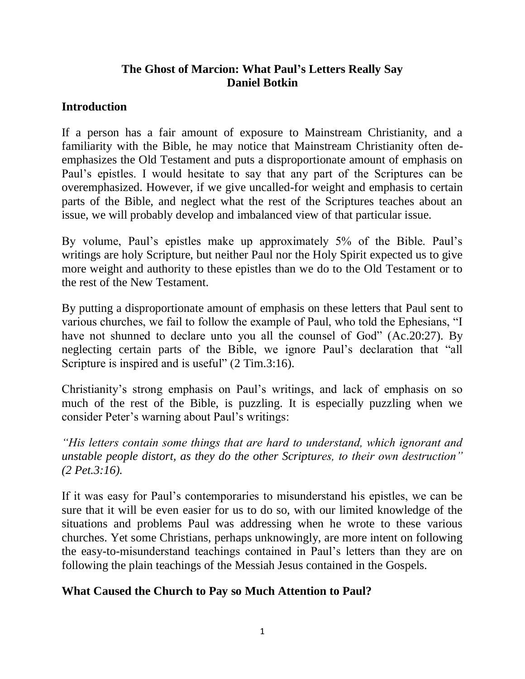## **The Ghost of Marcion: What Paul's Letters Really Say Daniel Botkin**

#### **Introduction**

If a person has a fair amount of exposure to Mainstream Christianity, and a familiarity with the Bible, he may notice that Mainstream Christianity often deemphasizes the Old Testament and puts a disproportionate amount of emphasis on Paul's epistles. I would hesitate to say that any part of the Scriptures can be overemphasized. However, if we give uncalled-for weight and emphasis to certain parts of the Bible, and neglect what the rest of the Scriptures teaches about an issue, we will probably develop and imbalanced view of that particular issue.

By volume, Paul's epistles make up approximately 5% of the Bible. Paul's writings are holy Scripture, but neither Paul nor the Holy Spirit expected us to give more weight and authority to these epistles than we do to the Old Testament or to the rest of the New Testament.

By putting a disproportionate amount of emphasis on these letters that Paul sent to various churches, we fail to follow the example of Paul, who told the Ephesians, "I have not shunned to declare unto you all the counsel of God" [\(Ac.20:27\)](http://biblia.com/bible/esv/Ac.20.27). By neglecting certain parts of the Bible, we ignore Paul's declaration that "all Scripture is inspired and is useful" [\(2 Tim.3:16\)](http://biblia.com/bible/esv/2%20Tim.3.16).

Christianity's strong emphasis on Paul's writings, and lack of emphasis on so much of the rest of the Bible, is puzzling. It is especially puzzling when we consider Peter's warning about Paul's writings:

*"His letters contain some things that are hard to understand, which ignorant and unstable people distort, as they do the other Scriptures, to their own destruction" [\(2 Pet.3:16\)](http://biblia.com/bible/esv/2%20Pet.3.16).*

If it was easy for Paul's contemporaries to misunderstand his epistles, we can be sure that it will be even easier for us to do so, with our limited knowledge of the situations and problems Paul was addressing when he wrote to these various churches. Yet some Christians, perhaps unknowingly, are more intent on following the easy-to-misunderstand teachings contained in Paul's letters than they are on following the plain teachings of the Messiah Jesus contained in the Gospels.

## **What Caused the Church to Pay so Much Attention to Paul?**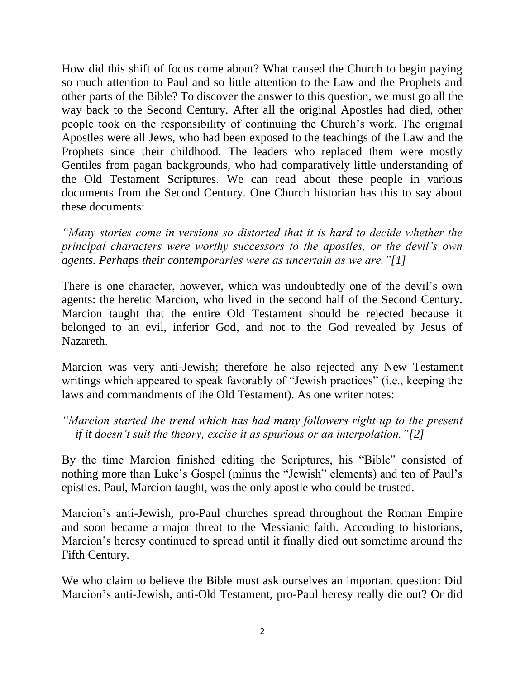How did this shift of focus come about? What caused the Church to begin paying so much attention to Paul and so little attention to the Law and the Prophets and other parts of the Bible? To discover the answer to this question, we must go all the way back to the Second Century. After all the original Apostles had died, other people took on the responsibility of continuing the Church's work. The original Apostles were all Jews, who had been exposed to the teachings of the Law and the Prophets since their childhood. The leaders who replaced them were mostly Gentiles from pagan backgrounds, who had comparatively little understanding of the Old Testament Scriptures. We can read about these people in various documents from the Second Century. One Church historian has this to say about these documents:

*"Many stories come in versions so distorted that it is hard to decide whether the principal characters were worthy successors to the apostles, or the devil's own agents. Perhaps their contemporaries were as uncertain as we are.["\[1\]](http://messianicpublications.com/daniel-botkin/the-ghost-of-marcion/#bk1)*

There is one character, however, which was undoubtedly one of the devil's own agents: the heretic Marcion, who lived in the second half of the Second Century. Marcion taught that the entire Old Testament should be rejected because it belonged to an evil, inferior God, and not to the God revealed by Jesus of Nazareth.

Marcion was very anti-Jewish; therefore he also rejected any New Testament writings which appeared to speak favorably of "Jewish practices" (i.e., keeping the laws and commandments of the Old Testament). As one writer notes:

*"Marcion started the trend which has had many followers right up to the present — if it doesn't suit the theory, excise it as spurious or an interpolation.["\[2\]](http://messianicpublications.com/daniel-botkin/the-ghost-of-marcion/#bk2)*

By the time Marcion finished editing the Scriptures, his "Bible" consisted of nothing more than Luke's Gospel (minus the "Jewish" elements) and ten of Paul's epistles. Paul, Marcion taught, was the only apostle who could be trusted.

Marcion's anti-Jewish, pro-Paul churches spread throughout the Roman Empire and soon became a major threat to the Messianic faith. According to historians, Marcion's heresy continued to spread until it finally died out sometime around the Fifth Century.

We who claim to believe the Bible must ask ourselves an important question: Did Marcion's anti-Jewish, anti-Old Testament, pro-Paul heresy really die out? Or did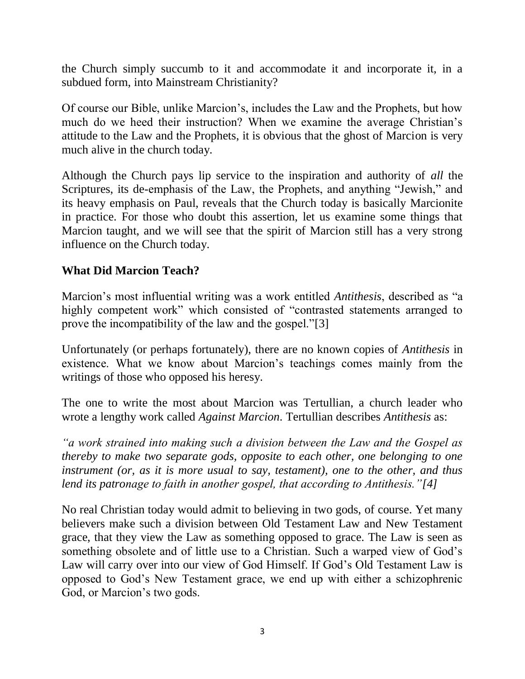the Church simply succumb to it and accommodate it and incorporate it, in a subdued form, into Mainstream Christianity?

Of course our Bible, unlike Marcion's, includes the Law and the Prophets, but how much do we heed their instruction? When we examine the average Christian's attitude to the Law and the Prophets, it is obvious that the ghost of Marcion is very much alive in the church today.

Although the Church pays lip service to the inspiration and authority of *all* the Scriptures, its de-emphasis of the Law, the Prophets, and anything "Jewish," and its heavy emphasis on Paul, reveals that the Church today is basically Marcionite in practice. For those who doubt this assertion, let us examine some things that Marcion taught, and we will see that the spirit of Marcion still has a very strong influence on the Church today.

## **What Did Marcion Teach?**

Marcion's most influential writing was a work entitled *Antithesis*, described as "a highly competent work" which consisted of "contrasted statements arranged to prove the incompatibility of the law and the gospel.["\[3\]](http://messianicpublications.com/daniel-botkin/the-ghost-of-marcion/#bk3)

Unfortunately (or perhaps fortunately), there are no known copies of *Antithesis* in existence. What we know about Marcion's teachings comes mainly from the writings of those who opposed his heresy.

The one to write the most about Marcion was Tertullian, a church leader who wrote a lengthy work called *[Against Marcion](http://www.newadvent.org/fathers/0312.htm)*. Tertullian describes *Antithesis* as:

*"a work strained into making such a division between the Law and the Gospel as thereby to make two separate gods, opposite to each other, one belonging to one instrument (or, as it is more usual to say, testament), one to the other, and thus lend its patronage to faith in another gospel, that according to Antithesis.["\[4\]](http://messianicpublications.com/daniel-botkin/the-ghost-of-marcion/#bk4)*

No real Christian today would admit to believing in two gods, of course. Yet many believers make such a division between Old Testament Law and New Testament grace, that they view the Law as something opposed to grace. The Law is seen as something obsolete and of little use to a Christian. Such a warped view of God's Law will carry over into our view of God Himself. If God's Old Testament Law is opposed to God's New Testament grace, we end up with either a schizophrenic God, or Marcion's two gods.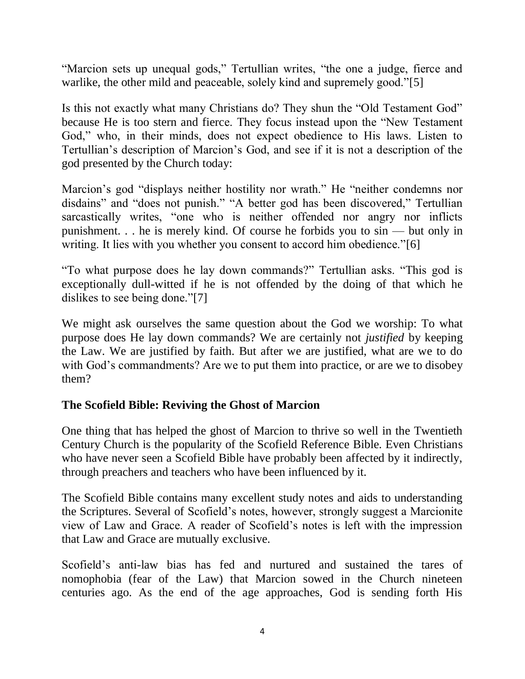"Marcion sets up unequal gods," Tertullian writes, "the one a judge, fierce and warlike, the other mild and peaceable, solely kind and supremely good.["\[5\]](http://messianicpublications.com/daniel-botkin/the-ghost-of-marcion/#bk5)

Is this not exactly what many Christians do? They shun the "Old Testament God" because He is too stern and fierce. They focus instead upon the "New Testament God," who, in their minds, does not expect obedience to His laws. Listen to Tertullian's description of Marcion's God, and see if it is not a description of the god presented by the Church today:

Marcion's god "displays neither hostility nor wrath." He "neither condemns nor disdains" and "does not punish." "A better god has been discovered," Tertullian sarcastically writes, "one who is neither offended nor angry nor inflicts punishment. . . he is merely kind. Of course he forbids you to sin — but only in writing. It lies with you whether you consent to accord him obedience.["\[6\]](http://messianicpublications.com/daniel-botkin/the-ghost-of-marcion/#bk6)

"To what purpose does he lay down commands?" Tertullian asks. "This god is exceptionally dull-witted if he is not offended by the doing of that which he dislikes to see being done.["\[7\]](http://messianicpublications.com/daniel-botkin/the-ghost-of-marcion/#bk7)

We might ask ourselves the same question about the God we worship: To what purpose does He lay down commands? We are certainly not *justified* by keeping the Law. We are justified by faith. But after we are justified, what are we to do with God's commandments? Are we to put them into practice, or are we to disobey them?

## **The Scofield Bible: Reviving the Ghost of Marcion**

One thing that has helped the ghost of Marcion to thrive so well in the Twentieth Century Church is the popularity of the Scofield Reference Bible. Even Christians who have never seen a Scofield Bible have probably been affected by it indirectly, through preachers and teachers who have been influenced by it.

The Scofield Bible contains many excellent study notes and aids to understanding the Scriptures. Several of Scofield's notes, however, strongly suggest a Marcionite view of Law and Grace. A reader of Scofield's notes is left with the impression that Law and Grace are mutually exclusive.

Scofield's anti-law bias has fed and nurtured and sustained the tares of nomophobia (fear of the Law) that Marcion sowed in the Church nineteen centuries ago. As the end of the age approaches, God is sending forth His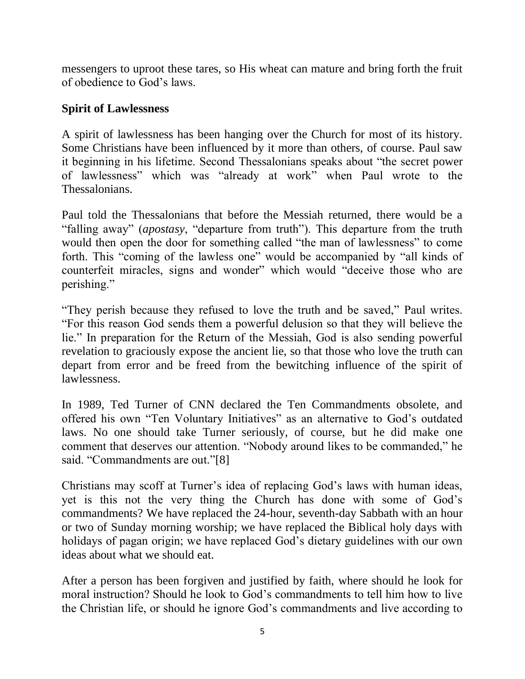messengers to uproot these tares, so His wheat can mature and bring forth the fruit of obedience to God's laws.

#### **Spirit of Lawlessness**

A spirit of lawlessness has been hanging over the Church for most of its history. Some Christians have been influenced by it more than others, of course. Paul saw it beginning in his lifetime. Second Thessalonians speaks about "the secret power of lawlessness" which was "already at work" when Paul wrote to the Thessalonians.

Paul told the Thessalonians that before the Messiah returned, there would be a "falling away" (*apostasy*, "departure from truth"). This departure from the truth would then open the door for something called "the man of lawlessness" to come forth. This "coming of the lawless one" would be accompanied by "all kinds of counterfeit miracles, signs and wonder" which would "deceive those who are perishing."

"They perish because they refused to love the truth and be saved," Paul writes. "For this reason God sends them a powerful delusion so that they will believe the lie." In preparation for the Return of the Messiah, God is also sending powerful revelation to graciously expose the ancient lie, so that those who love the truth can depart from error and be freed from the bewitching influence of the spirit of lawlessness.

In 1989, Ted Turner of CNN declared the Ten Commandments obsolete, and offered his own "Ten Voluntary Initiatives" as an alternative to God's outdated laws. No one should take Turner seriously, of course, but he did make one comment that deserves our attention. "Nobody around likes to be commanded," he said. "Commandments are out.["\[8\]](http://messianicpublications.com/daniel-botkin/the-ghost-of-marcion/#bk8)

Christians may scoff at Turner's idea of replacing God's laws with human ideas, yet is this not the very thing the Church has done with some of God's commandments? We have replaced the 24-hour, seventh-day Sabbath with an hour or two of Sunday morning worship; we have replaced the Biblical holy days with holidays of pagan origin; we have replaced God's dietary guidelines with our own ideas about what we should eat.

After a person has been forgiven and justified by faith, where should he look for moral instruction? Should he look to God's commandments to tell him how to live the Christian life, or should he ignore God's commandments and live according to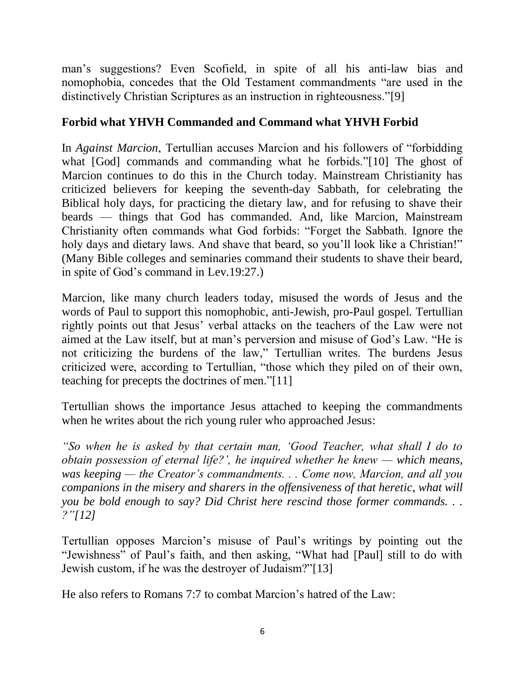man's suggestions? Even Scofield, in spite of all his anti-law bias and nomophobia, concedes that the Old Testament commandments "are used in the distinctively Christian Scriptures as an instruction in righteousness.["\[9\]](http://messianicpublications.com/daniel-botkin/the-ghost-of-marcion/#bk9)

# **Forbid what YHVH Commanded and Command what YHVH Forbid**

In *[Against Marcion](http://www.newadvent.org/fathers/0312.htm)*, Tertullian accuses Marcion and his followers of "forbidding what [God] commands and commanding what he forbids.["\[10\]](http://messianicpublications.com/daniel-botkin/the-ghost-of-marcion/#bk10) The ghost of Marcion continues to do this in the Church today. Mainstream Christianity has criticized believers for keeping the seventh-day Sabbath, for celebrating the Biblical holy days, for practicing the dietary law, and for refusing to shave their beards — things that God has commanded. And, like Marcion, Mainstream Christianity often commands what God forbids: "Forget the Sabbath. Ignore the holy days and dietary laws. And shave that beard, so you'll look like a Christian!" (Many Bible colleges and seminaries command their students to shave their beard, in spite of God's command in [Lev.19:27.](http://biblia.com/bible/esv/Lev.19.27))

Marcion, like many church leaders today, misused the words of Jesus and the words of Paul to support this nomophobic, anti-Jewish, pro-Paul gospel. Tertullian rightly points out that Jesus' verbal attacks on the teachers of the Law were not aimed at the Law itself, but at man's perversion and misuse of God's Law. "He is not criticizing the burdens of the law," Tertullian writes. The burdens Jesus criticized were, according to Tertullian, "those which they piled on of their own, teaching for precepts the doctrines of men.["\[11\]](http://messianicpublications.com/daniel-botkin/the-ghost-of-marcion/#bk11)

Tertullian shows the importance Jesus attached to keeping the commandments when he writes about the rich young ruler who approached Jesus:

*"So when he is asked by that certain man, 'Good Teacher, what shall I do to obtain possession of eternal life?', he inquired whether he knew — which means, was keeping — the Creator's commandments. . . Come now, Marcion, and all you companions in the misery and sharers in the offensiveness of that heretic, what will you be bold enough to say? Did Christ here rescind those former commands. . . ?["\[12\]](http://messianicpublications.com/daniel-botkin/the-ghost-of-marcion/#bk12)*

Tertullian opposes Marcion's misuse of Paul's writings by pointing out the "Jewishness" of Paul's faith, and then asking, "What had [Paul] still to do with Jewish custom, if he was the destroyer of Judaism?["\[13\]](http://messianicpublications.com/daniel-botkin/the-ghost-of-marcion/#bk13)

He also refers to [Romans 7:7](http://biblia.com/bible/esv/Romans%207.7) to combat Marcion's hatred of the Law: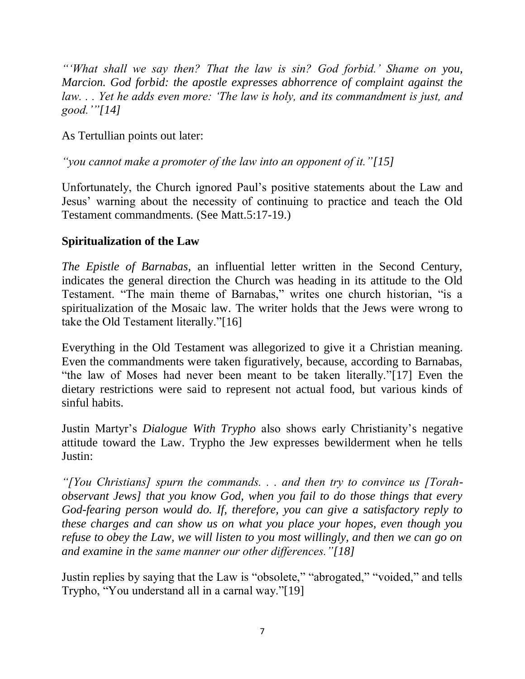*"'What shall we say then? That the law is sin? God forbid.' Shame on you, Marcion. God forbid: the apostle expresses abhorrence of complaint against the law. . . Yet he adds even more: 'The law is holy, and its commandment is just, and good.'["\[14\]](http://messianicpublications.com/daniel-botkin/the-ghost-of-marcion/#bk14)*

As Tertullian points out later:

*"you cannot make a promoter of the law into an opponent of it.["\[15\]](http://messianicpublications.com/daniel-botkin/the-ghost-of-marcion/#bk15)*

Unfortunately, the Church ignored Paul's positive statements about the Law and Jesus' warning about the necessity of continuing to practice and teach the Old Testament commandments. (See [Matt.5:17-19.](http://biblia.com/bible/esv/Matt.5.17-19))

# **Spiritualization of the Law**

*The Epistle of Barnabas*, an influential letter written in the Second Century, indicates the general direction the Church was heading in its attitude to the Old Testament. "The main theme of Barnabas," writes one church historian, "is a spiritualization of the Mosaic law. The writer holds that the Jews were wrong to take the Old Testament literally.["\[16\]](http://messianicpublications.com/daniel-botkin/the-ghost-of-marcion/#bk16)

Everything in the Old Testament was allegorized to give it a Christian meaning. Even the commandments were taken figuratively, because, according to Barnabas, "the law of Moses had never been meant to be taken literally.["\[17\]](http://messianicpublications.com/daniel-botkin/the-ghost-of-marcion/#bk17) Even the dietary restrictions were said to represent not actual food, but various kinds of sinful habits.

Justin Martyr's *[Dialogue With Trypho](http://en.wikipedia.org/wiki/Dialogue_with_Trypho)* also shows early Christianity's negative attitude toward the Law. Trypho the Jew expresses bewilderment when he tells Justin:

*"[You Christians] spurn the commands. . . and then try to convince us [Torahobservant Jews] that you know God, when you fail to do those things that every God-fearing person would do. If, therefore, you can give a satisfactory reply to these charges and can show us on what you place your hopes, even though you refuse to obey the Law, we will listen to you most willingly, and then we can go on and examine in the same manner our other differences.["\[18\]](http://messianicpublications.com/daniel-botkin/the-ghost-of-marcion/#bk18)*

Justin replies by saying that the Law is "obsolete," "abrogated," "voided," and tells Trypho, "You understand all in a carnal way.["\[19\]](http://messianicpublications.com/daniel-botkin/the-ghost-of-marcion/#bk19)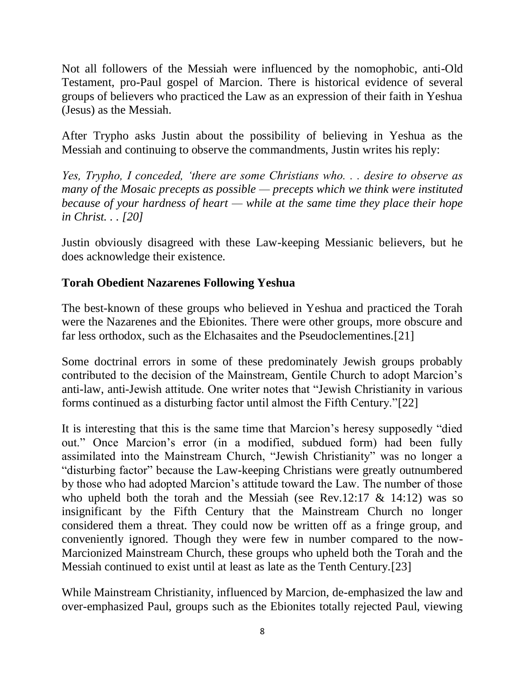Not all followers of the Messiah were influenced by the nomophobic, anti-Old Testament, pro-Paul gospel of Marcion. There is historical evidence of several groups of believers who practiced the Law as an expression of their faith in Yeshua (Jesus) as the Messiah.

After Trypho asks Justin about the possibility of believing in Yeshua as the Messiah and continuing to observe the commandments, Justin writes his reply:

*Yes, Trypho, I conceded, 'there are some Christians who. . . desire to observe as many of the Mosaic precepts as possible — precepts which we think were instituted because of your hardness of heart — while at the same time they place their hope in Christ. . . [\[20\]](http://messianicpublications.com/daniel-botkin/the-ghost-of-marcion/#bk20)*

Justin obviously disagreed with these Law-keeping Messianic believers, but he does acknowledge their existence.

## **Torah Obedient Nazarenes Following Yeshua**

The best-known of these groups who believed in Yeshua and practiced the Torah were the Nazarenes and the Ebionites. There were other groups, more obscure and far less orthodox, such as the Elchasaites and the Pseudoclementines[.\[21\]](http://messianicpublications.com/daniel-botkin/the-ghost-of-marcion/#bk21)

Some doctrinal errors in some of these predominately Jewish groups probably contributed to the decision of the Mainstream, Gentile Church to adopt Marcion's anti-law, anti-Jewish attitude. One writer notes that "Jewish Christianity in various forms continued as a disturbing factor until almost the Fifth Century.["\[22\]](http://messianicpublications.com/daniel-botkin/the-ghost-of-marcion/#bk22)

It is interesting that this is the same time that Marcion's heresy supposedly "died out." Once Marcion's error (in a modified, subdued form) had been fully assimilated into the Mainstream Church, "Jewish Christianity" was no longer a "disturbing factor" because the Law-keeping Christians were greatly outnumbered by those who had adopted Marcion's attitude toward the Law. The number of those who upheld both the torah and the Messiah (see [Rev.12:17](http://biblia.com/bible/esv/Rev.12.17)  $\&$  [14:12\)](http://biblia.com/bible/esv/Rev%2014.12) was so insignificant by the Fifth Century that the Mainstream Church no longer considered them a threat. They could now be written off as a fringe group, and conveniently ignored. Though they were few in number compared to the now-Marcionized Mainstream Church, these groups who upheld both the Torah and the Messiah continued to exist until at least as late as the Tenth Century[.\[23\]](http://messianicpublications.com/daniel-botkin/the-ghost-of-marcion/#bk23)

While Mainstream Christianity, influenced by Marcion, de-emphasized the law and over-emphasized Paul, groups such as the Ebionites totally rejected Paul, viewing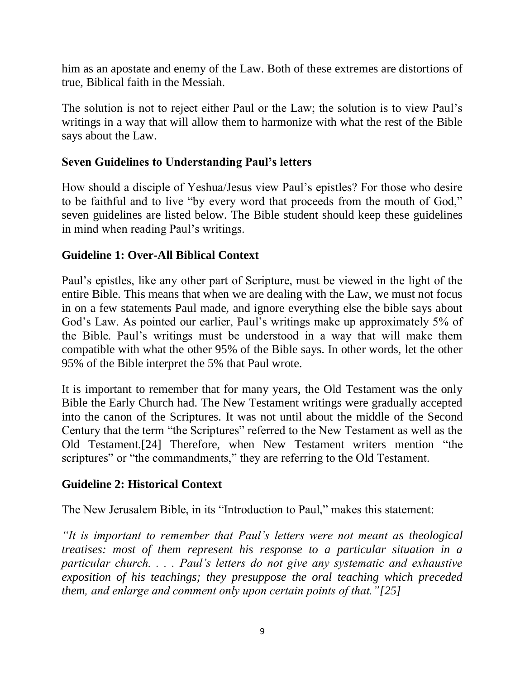him as an apostate and enemy of the Law. Both of these extremes are distortions of true, Biblical faith in the Messiah.

The solution is not to reject either Paul or the Law; the solution is to view Paul's writings in a way that will allow them to harmonize with what the rest of the Bible says about the Law.

### **Seven Guidelines to Understanding Paul's letters**

How should a disciple of Yeshua/Jesus view Paul's epistles? For those who desire to be faithful and to live "by every word that proceeds from the mouth of God," seven guidelines are listed below. The Bible student should keep these guidelines in mind when reading Paul's writings.

### **Guideline 1: Over-All Biblical Context**

Paul's epistles, like any other part of Scripture, must be viewed in the light of the entire Bible. This means that when we are dealing with the Law, we must not focus in on a few statements Paul made, and ignore everything else the bible says about God's Law. As pointed our earlier, Paul's writings make up approximately 5% of the Bible. Paul's writings must be understood in a way that will make them compatible with what the other 95% of the Bible says. In other words, let the other 95% of the Bible interpret the 5% that Paul wrote.

It is important to remember that for many years, the Old Testament was the only Bible the Early Church had. The New Testament writings were gradually accepted into the canon of the Scriptures. It was not until about the middle of the Second Century that the term "the Scriptures" referred to the New Testament as well as the Old Testament[.\[24\]](http://messianicpublications.com/daniel-botkin/the-ghost-of-marcion/#bk24) Therefore, when New Testament writers mention "the scriptures" or "the commandments," they are referring to the Old Testament.

#### **Guideline 2: Historical Context**

The New Jerusalem Bible, in its "Introduction to Paul," makes this statement:

*"It is important to remember that Paul's letters were not meant as theological treatises: most of them represent his response to a particular situation in a particular church. . . . Paul's letters do not give any systematic and exhaustive exposition of his teachings; they presuppose the oral teaching which preceded them, and enlarge and comment only upon certain points of that.["\[25\]](http://messianicpublications.com/daniel-botkin/the-ghost-of-marcion/#bk25)*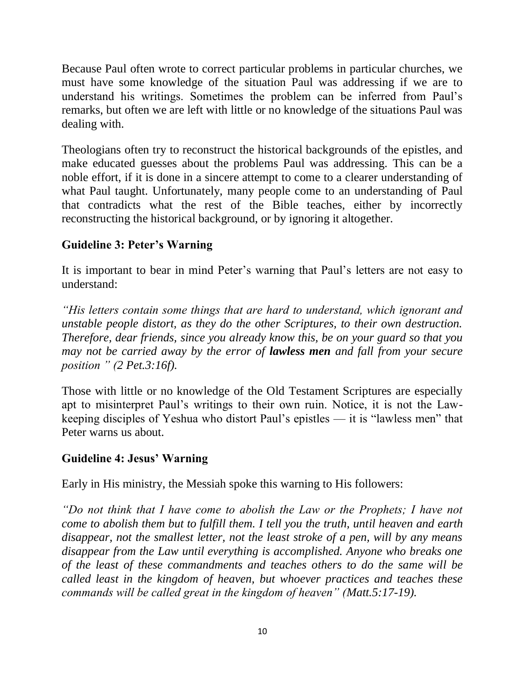Because Paul often wrote to correct particular problems in particular churches, we must have some knowledge of the situation Paul was addressing if we are to understand his writings. Sometimes the problem can be inferred from Paul's remarks, but often we are left with little or no knowledge of the situations Paul was dealing with.

Theologians often try to reconstruct the historical backgrounds of the epistles, and make educated guesses about the problems Paul was addressing. This can be a noble effort, if it is done in a sincere attempt to come to a clearer understanding of what Paul taught. Unfortunately, many people come to an understanding of Paul that contradicts what the rest of the Bible teaches, either by incorrectly reconstructing the historical background, or by ignoring it altogether.

## **Guideline 3: Peter's Warning**

It is important to bear in mind Peter's warning that Paul's letters are not easy to understand:

*"His letters contain some things that are hard to understand, which ignorant and unstable people distort, as they do the other Scriptures, to their own destruction. Therefore, dear friends, since you already know this, be on your guard so that you may not be carried away by the error of lawless men and fall from your secure position " [\(2 Pet.3:16f\)](http://biblia.com/bible/esv/2%20Pet.3.16f).*

Those with little or no knowledge of the Old Testament Scriptures are especially apt to misinterpret Paul's writings to their own ruin. Notice, it is not the Lawkeeping disciples of Yeshua who distort Paul's epistles — it is "lawless men" that Peter warns us about.

## **Guideline 4: Jesus' Warning**

Early in His ministry, the Messiah spoke this warning to His followers:

*"Do not think that I have come to abolish the Law or the Prophets; I have not come to abolish them but to fulfill them. I tell you the truth, until heaven and earth disappear, not the smallest letter, not the least stroke of a pen, will by any means disappear from the Law until everything is accomplished. Anyone who breaks one of the least of these commandments and teaches others to do the same will be called least in the kingdom of heaven, but whoever practices and teaches these commands will be called great in the kingdom of heaven" [\(Matt.5:17-19\)](http://biblia.com/bible/esv/Matt.5.17-19).*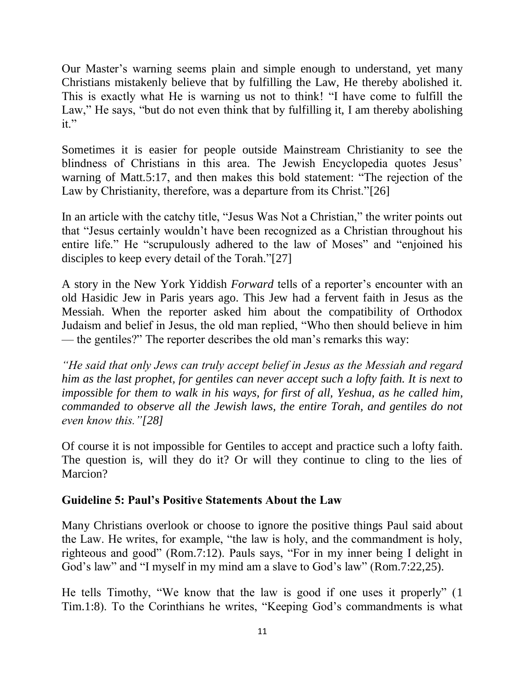Our Master's warning seems plain and simple enough to understand, yet many Christians mistakenly believe that by fulfilling the Law, He thereby abolished it. This is exactly what He is warning us not to think! "I have come to fulfill the Law," He says, "but do not even think that by fulfilling it, I am thereby abolishing it."

Sometimes it is easier for people outside Mainstream Christianity to see the blindness of Christians in this area. The Jewish Encyclopedia quotes Jesus' warning of [Matt.5:17,](http://biblia.com/bible/esv/Matt.5.17) and then makes this bold statement: "The rejection of the Law by Christianity, therefore, was a departure from its Christ.["\[26\]](http://messianicpublications.com/daniel-botkin/the-ghost-of-marcion/#bk26)

In an article with the catchy title, "Jesus Was Not a Christian," the writer points out that "Jesus certainly wouldn't have been recognized as a Christian throughout his entire life." He "scrupulously adhered to the law of Moses" and "enjoined his disciples to keep every detail of the Torah.["\[27\]](http://messianicpublications.com/daniel-botkin/the-ghost-of-marcion/#bk27)

A story in the New York Yiddish *Forward* tells of a reporter's encounter with an old Hasidic Jew in Paris years ago. This Jew had a fervent faith in Jesus as the Messiah. When the reporter asked him about the compatibility of Orthodox Judaism and belief in Jesus, the old man replied, "Who then should believe in him — the gentiles?" The reporter describes the old man's remarks this way:

*"He said that only Jews can truly accept belief in Jesus as the Messiah and regard him as the last prophet, for gentiles can never accept such a lofty faith. It is next to impossible for them to walk in his ways, for first of all, Yeshua, as he called him, commanded to observe all the Jewish laws, the entire Torah, and gentiles do not even know this.["\[28\]](http://messianicpublications.com/daniel-botkin/the-ghost-of-marcion/#bk28)*

Of course it is not impossible for Gentiles to accept and practice such a lofty faith. The question is, will they do it? Or will they continue to cling to the lies of Marcion?

## **Guideline 5: Paul's Positive Statements About the Law**

Many Christians overlook or choose to ignore the positive things Paul said about the Law. He writes, for example, "the law is holy, and the commandment is holy, righteous and good" [\(Rom.7:12\)](http://biblia.com/bible/esv/Rom.7.12). Pauls says, "For in my inner being I delight in God's law" and "I myself in my mind am a slave to God's law" [\(Rom.7:22,](http://biblia.com/bible/esv/Rom.7.22)[25\)](http://biblia.com/bible/esv/Rom%207.25).

He tells Timothy, "We know that the law is good if one uses it properly" [\(1](http://biblia.com/bible/esv/1%20Tim.1.8)  [Tim.1:8\)](http://biblia.com/bible/esv/1%20Tim.1.8). To the Corinthians he writes, "Keeping God's commandments is what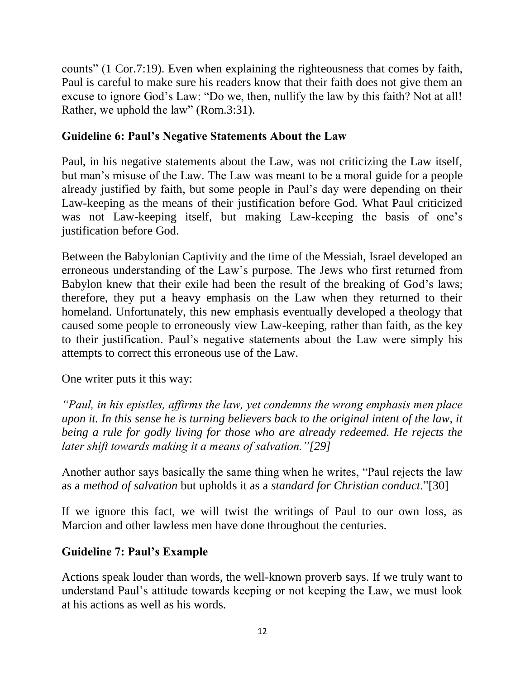counts" [\(1 Cor.7:19\)](http://biblia.com/bible/esv/1%20Cor.7.19). Even when explaining the righteousness that comes by faith, Paul is careful to make sure his readers know that their faith does not give them an excuse to ignore God's Law: "Do we, then, nullify the law by this faith? Not at all! Rather, we uphold the law" [\(Rom.3:31\)](http://biblia.com/bible/esv/Rom.3.31).

## **Guideline 6: Paul's Negative Statements About the Law**

Paul, in his negative statements about the Law, was not criticizing the Law itself, but man's misuse of the Law. The Law was meant to be a moral guide for a people already justified by faith, but some people in Paul's day were depending on their Law-keeping as the means of their justification before God. What Paul criticized was not Law-keeping itself, but making Law-keeping the basis of one's justification before God.

Between the Babylonian Captivity and the time of the Messiah, Israel developed an erroneous understanding of the Law's purpose. The Jews who first returned from Babylon knew that their exile had been the result of the breaking of God's laws; therefore, they put a heavy emphasis on the Law when they returned to their homeland. Unfortunately, this new emphasis eventually developed a theology that caused some people to erroneously view Law-keeping, rather than faith, as the key to their justification. Paul's negative statements about the Law were simply his attempts to correct this erroneous use of the Law.

One writer puts it this way:

*"Paul, in his epistles, affirms the law, yet condemns the wrong emphasis men place upon it. In this sense he is turning believers back to the original intent of the law, it being a rule for godly living for those who are already redeemed. He rejects the later shift towards making it a means of salvation.["\[29\]](http://messianicpublications.com/daniel-botkin/the-ghost-of-marcion/#bk29)*

Another author says basically the same thing when he writes, "Paul rejects the law as a *method of salvation* but upholds it as a *standard for Christian conduct*.["\[30\]](http://messianicpublications.com/daniel-botkin/the-ghost-of-marcion/#bk30)

If we ignore this fact, we will twist the writings of Paul to our own loss, as Marcion and other lawless men have done throughout the centuries.

# **Guideline 7: Paul's Example**

Actions speak louder than words, the well-known proverb says. If we truly want to understand Paul's attitude towards keeping or not keeping the Law, we must look at his actions as well as his words.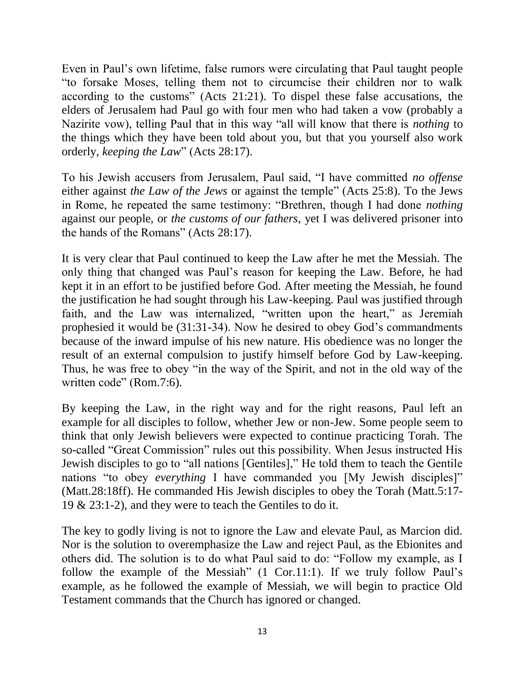Even in Paul's own lifetime, false rumors were circulating that Paul taught people "to forsake Moses, telling them not to circumcise their children nor to walk according to the customs" [\(Acts 21:21\)](http://biblia.com/bible/esv/Acts%2021.21). To dispel these false accusations, the elders of Jerusalem had Paul go with four men who had taken a vow (probably a Nazirite vow), telling Paul that in this way "all will know that there is *nothing* to the things which they have been told about you, but that you yourself also work orderly, *keeping the Law*" [\(Acts 28:17\)](http://biblia.com/bible/esv/Acts%2028.17).

To his Jewish accusers from Jerusalem, Paul said, "I have committed *no offense*  either against *the Law of the Jews* or against the temple" [\(Acts 25:8\)](http://biblia.com/bible/esv/Acts%2025.8). To the Jews in Rome, he repeated the same testimony: "Brethren, though I had done *nothing*  against our people, or *the customs of our fathers*, yet I was delivered prisoner into the hands of the Romans" [\(Acts 28:17\)](http://biblia.com/bible/esv/Acts%2028.17).

It is very clear that Paul continued to keep the Law after he met the Messiah. The only thing that changed was Paul's reason for keeping the Law. Before, he had kept it in an effort to be justified before God. After meeting the Messiah, he found the justification he had sought through his Law-keeping. Paul was justified through faith, and the Law was internalized, "written upon the heart," as Jeremiah prophesied it would be (31:31-34). Now he desired to obey God's commandments because of the inward impulse of his new nature. His obedience was no longer the result of an external compulsion to justify himself before God by Law-keeping. Thus, he was free to obey "in the way of the Spirit, and not in the old way of the written code" [\(Rom.7:6\)](http://biblia.com/bible/esv/Rom.7.6).

By keeping the Law, in the right way and for the right reasons, Paul left an example for all disciples to follow, whether Jew or non-Jew. Some people seem to think that only Jewish believers were expected to continue practicing Torah. The so-called "Great Commission" rules out this possibility. When Jesus instructed His Jewish disciples to go to "all nations [Gentiles]," He told them to teach the Gentile nations "to obey *everything* I have commanded you [My Jewish disciples]" [\(Matt.28:18ff\)](http://biblia.com/bible/esv/Matt.28.18ff). He commanded His Jewish disciples to obey the Torah [\(Matt.5:17-](http://biblia.com/bible/esv/Matt.5.17-19) [19](http://biblia.com/bible/esv/Matt.5.17-19) & [23:1-2\)](http://biblia.com/bible/esv/Matt%2023.1-2), and they were to teach the Gentiles to do it.

The key to godly living is not to ignore the Law and elevate Paul, as Marcion did. Nor is the solution to overemphasize the Law and reject Paul, as the Ebionites and others did. The solution is to do what Paul said to do: "Follow my example, as I follow the example of the Messiah" [\(1 Cor.11:1\)](http://biblia.com/bible/esv/1%20Cor.11.1). If we truly follow Paul's example, as he followed the example of Messiah, we will begin to practice Old Testament commands that the Church has ignored or changed.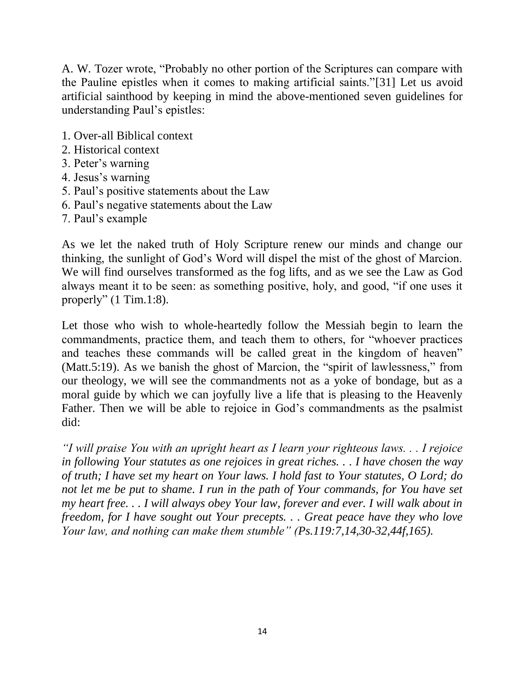A. W. Tozer wrote, "Probably no other portion of the Scriptures can compare with the Pauline epistles when it comes to making artificial saints.["\[31\]](http://messianicpublications.com/daniel-botkin/the-ghost-of-marcion/#bk31) Let us avoid artificial sainthood by keeping in mind the above-mentioned seven guidelines for understanding Paul's epistles:

- 1. Over-all Biblical context
- 2. Historical context
- 3. Peter's warning
- 4. Jesus's warning
- 5. Paul's positive statements about the Law
- 6. Paul's negative statements about the Law
- 7. Paul's example

As we let the naked truth of Holy Scripture renew our minds and change our thinking, the sunlight of God's Word will dispel the mist of the ghost of Marcion. We will find ourselves transformed as the fog lifts, and as we see the Law as God always meant it to be seen: as something positive, holy, and good, "if one uses it properly" [\(1 Tim.1:8\)](http://biblia.com/bible/esv/1%20Tim.1.8).

Let those who wish to whole-heartedly follow the Messiah begin to learn the commandments, practice them, and teach them to others, for "whoever practices and teaches these commands will be called great in the kingdom of heaven" [\(Matt.5:19\)](http://biblia.com/bible/esv/Matt.5.19). As we banish the ghost of Marcion, the "spirit of lawlessness," from our theology, we will see the commandments not as a yoke of bondage, but as a moral guide by which we can joyfully live a life that is pleasing to the Heavenly Father. Then we will be able to rejoice in God's commandments as the psalmist did:

*"I will praise You with an upright heart as I learn your righteous laws. . . I rejoice in following Your statutes as one rejoices in great riches. . . I have chosen the way of truth; I have set my heart on Your laws. I hold fast to Your statutes, O Lord; do not let me be put to shame. I run in the path of Your commands, for You have set my heart free. . . I will always obey Your law, forever and ever. I will walk about in freedom, for I have sought out Your precepts. . . Great peace have they who love Your law, and nothing can make them stumble" [\(Ps.119:7](http://biblia.com/bible/esv/Ps.119.7)[,14,](http://biblia.com/bible/esv/Ps%20119.14)[30-32,](http://biblia.com/bible/esv/Ps%20119.30-32)[44f](http://biblia.com/bible/esv/Ps%20119.44f)[,165\)](http://biblia.com/bible/esv/Ps%20119.165).*